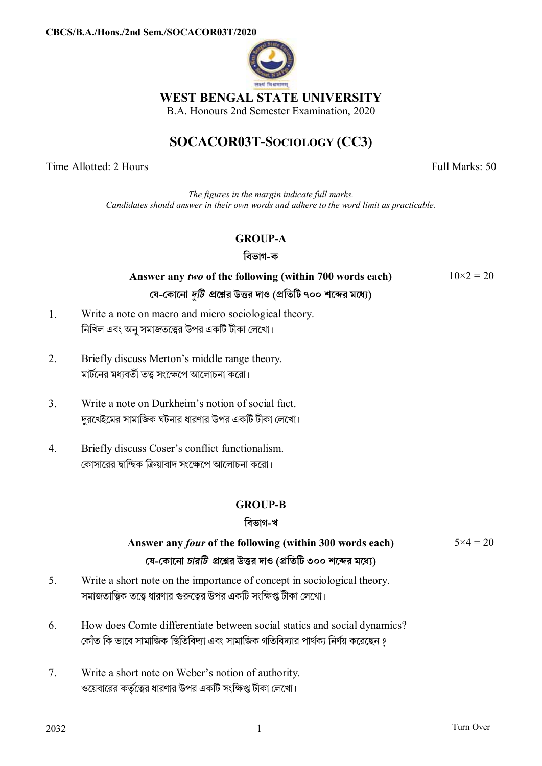

### **WEST BENGAL STATE UNIVERSITY**

B.A. Honours 2nd Semester Examination, 2020

# **SOCACOR03T-SOCIOLOGY (CC3)**

Time Allotted: 2 Hours Full Marks: 50

*The figures in the margin indicate full marks. Candidates should answer in their own words and adhere to the word limit as practicable.*

### **GROUP-A**

**িবভাগ-ক**

## **Answer any** *two* **of the following (within 700 words each) েয-েকােনা** *dিট* **pেűর উtর দাও (pিতিট ৭০০ শেbর মেধ°)**

 $10\times2 = 20$ 

- 1. Write a note on macro and micro sociological theory. নিখিল এবং অনু সমাজতত্ত্বের উপর একটি টীকা লেখো।
- 2. Briefly discuss Merton's middle range theory. মার্টনের মধাবর্তী তত্ত্ব সংক্ষেপে আলোচনা করো।
- 3. Write a note on Durkheim's notion of social fact. দরখেইমের সামাজিক ঘটনার ধারণার উপর একটি টীকা লেখো।
- 4. Briefly discuss Coser's conflict functionalism. কোসারের দ্বান্দ্বিক ক্রিয়াবাদ সংক্ষেপে আলোচনা করো।

### **GROUP-B**

### **িবভাগ-খ**

#### **Answer any** *four* **of the following (within 300 words each) েয-েকােনা** *চারিট* **pেűর উtর দাও (pিতিট ৩০০ শেbর মেধ°)**  $5 \times 4 = 20$

- 5. Write a short note on the importance of concept in sociological theory. সমাজতাত্ত্বিক তত্ত্বে ধারণার গুরুত্বের উপর একটি সংক্ষিপ্ত টীকা লেখো।
- 6. How does Comte differentiate between social statics and social dynamics? কোঁত কি ভাবে সামাজিক স্থিতিবিদ্যা এবং সামাজিক গতিবিদ্যার পার্থক্য নির্ণয় করেছেন ?
- 7. Write a short note on Weber's notion of authority. ওয়েবারের কর্তৃত্বের ধারণার উপর একটি সংক্ষিপ্ত টীকা লেখো।